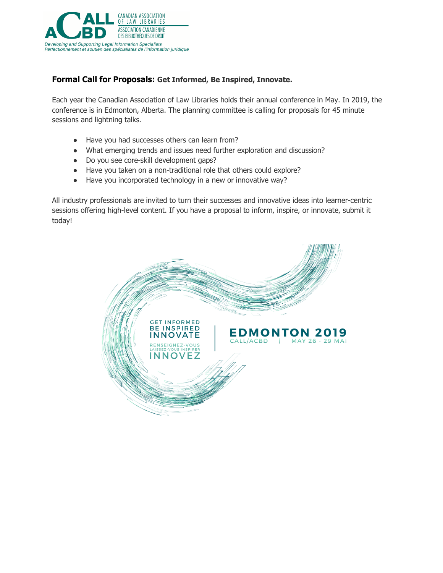

## **Formal Call for Proposals: Get Informed, Be Inspired, Innovate.**

Each year the Canadian Association of Law Libraries holds their annual conference in May. In 2019, the conference is in Edmonton, Alberta. The planning committee is calling for proposals for 45 minute sessions and lightning talks.

- Have you had successes others can learn from?
- What emerging trends and issues need further exploration and discussion?
- Do you see core-skill development gaps?
- Have you taken on a non-traditional role that others could explore?
- Have you incorporated technology in a new or innovative way?

All industry professionals are invited to turn their successes and innovative ideas into learner-centric sessions offering high-level content. If you have a proposal to inform, inspire, or innovate, submit it today!